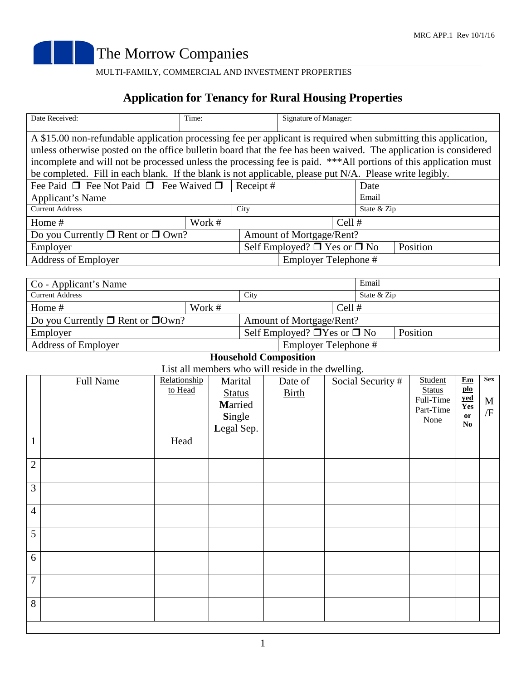

## MULTI-FAMILY, COMMERCIAL AND INVESTMENT PROPERTIES

## **Application for Tenancy for Rural Housing Properties**

| Date Received:                                                                                                                                                                                                                       | Time:    |                                                    | Signature of Manager: |  |             |  |  |
|--------------------------------------------------------------------------------------------------------------------------------------------------------------------------------------------------------------------------------------|----------|----------------------------------------------------|-----------------------|--|-------------|--|--|
| A \$15.00 non-refundable application processing fee per applicant is required when submitting this application,                                                                                                                      |          |                                                    |                       |  |             |  |  |
| unless otherwise posted on the office bulletin board that the fee has been waived. The application is considered<br>incomplete and will not be processed unless the processing fee is paid. ***All portions of this application must |          |                                                    |                       |  |             |  |  |
| be completed. Fill in each blank. If the blank is not applicable, please put N/A. Please write legibly.                                                                                                                              |          |                                                    |                       |  |             |  |  |
| Fee Paid $\Box$ Fee Not Paid $\Box$ Fee Waived $\Box$                                                                                                                                                                                | Receipt# |                                                    | Date                  |  |             |  |  |
| Applicant's Name                                                                                                                                                                                                                     |          |                                                    |                       |  | Email       |  |  |
| <b>Current Address</b>                                                                                                                                                                                                               |          | City                                               |                       |  | State & Zip |  |  |
| Home #                                                                                                                                                                                                                               | Work #   | Cell $#$                                           |                       |  |             |  |  |
| Do you Currently $\Box$ Rent or $\Box$ Own?                                                                                                                                                                                          |          | Amount of Mortgage/Rent?                           |                       |  |             |  |  |
| Employer                                                                                                                                                                                                                             |          | Self Employed? $\Box$ Yes or $\Box$ No<br>Position |                       |  |             |  |  |
| <b>Address of Employer</b>                                                                                                                                                                                                           |          | Employer Telephone #                               |                       |  |             |  |  |
|                                                                                                                                                                                                                                      |          |                                                    |                       |  |             |  |  |

| Co - Applicant's Name                       |  |                                                    |                      |             | Email |  |
|---------------------------------------------|--|----------------------------------------------------|----------------------|-------------|-------|--|
| <b>Current Address</b>                      |  | City                                               |                      | State & Zip |       |  |
| Work #<br>Home $#$                          |  | Cell $#$                                           |                      |             |       |  |
| Do you Currently $\Box$ Rent or $\Box$ Own? |  | Amount of Mortgage/Rent?                           |                      |             |       |  |
| Employer                                    |  | Self Employed? $\Box$ Yes or $\Box$ No<br>Position |                      |             |       |  |
| <b>Address of Employer</b>                  |  |                                                    | Employer Telephone # |             |       |  |

## **Household Composition**

List all members who will reside in the dwelling.

|                |                  |                         |                                                             | Lot an incritions who will reside in the awening. |                   |                                                            |                                                                         |                       |
|----------------|------------------|-------------------------|-------------------------------------------------------------|---------------------------------------------------|-------------------|------------------------------------------------------------|-------------------------------------------------------------------------|-----------------------|
|                | <b>Full Name</b> | Relationship<br>to Head | Marital<br><b>Status</b><br>Married<br>Single<br>Legal Sep. | Date of<br><b>Birth</b>                           | Social Security # | Student<br><b>Status</b><br>Full-Time<br>Part-Time<br>None | Em<br>$\underline{\textbf{plo}}$<br><b>yed</b><br>Yes<br>or<br>$\bf No$ | <b>Sex</b><br>M<br>/F |
| $\mathbf{1}$   |                  | Head                    |                                                             |                                                   |                   |                                                            |                                                                         |                       |
| $\overline{c}$ |                  |                         |                                                             |                                                   |                   |                                                            |                                                                         |                       |
| 3              |                  |                         |                                                             |                                                   |                   |                                                            |                                                                         |                       |
| $\overline{4}$ |                  |                         |                                                             |                                                   |                   |                                                            |                                                                         |                       |
| $\overline{5}$ |                  |                         |                                                             |                                                   |                   |                                                            |                                                                         |                       |
| 6              |                  |                         |                                                             |                                                   |                   |                                                            |                                                                         |                       |
| 7              |                  |                         |                                                             |                                                   |                   |                                                            |                                                                         |                       |
| 8              |                  |                         |                                                             |                                                   |                   |                                                            |                                                                         |                       |
|                |                  |                         |                                                             |                                                   |                   |                                                            |                                                                         |                       |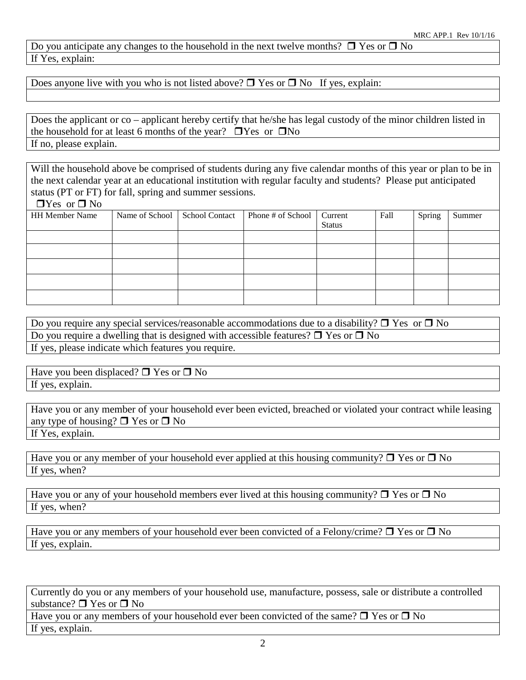Do you anticipate any changes to the household in the next twelve months?  $\Box$  Yes or  $\Box$  No If Yes, explain:

Does anyone live with you who is not listed above?  $\Box$  Yes or  $\Box$  No If yes, explain:

Does the applicant or co – applicant hereby certify that he/she has legal custody of the minor children listed in the household for at least 6 months of the year?  $\Box$  Yes or  $\Box$  No If no, please explain.

Will the household above be comprised of students during any five calendar months of this year or plan to be in the next calendar year at an educational institution with regular faculty and students? Please put anticipated status (PT or FT) for fall, spring and summer sessions.

 $\Box$ Yes or  $\Box$  No

| <b>HH Member Name</b> | Name of School School Contact | Phone # of School | Current<br><b>Status</b> | Fall | Spring | Summer |
|-----------------------|-------------------------------|-------------------|--------------------------|------|--------|--------|
|                       |                               |                   |                          |      |        |        |
|                       |                               |                   |                          |      |        |        |
|                       |                               |                   |                          |      |        |        |
|                       |                               |                   |                          |      |        |        |
|                       |                               |                   |                          |      |        |        |

Do you require any special services/reasonable accommodations due to a disability?  $\Box$  Yes or  $\Box$  No Do you require a dwelling that is designed with accessible features?  $\Box$  Yes or  $\Box$  No If yes, please indicate which features you require.

Have you been displaced?  $\Box$  Yes or  $\Box$  No If yes, explain.

Have you or any member of your household ever been evicted, breached or violated your contract while leasing any type of housing?  $\Box$  Yes or  $\Box$  No If Yes, explain.

Have you or any member of your household ever applied at this housing community?  $\Box$  Yes or  $\Box$  No If yes, when?

Have you or any of your household members ever lived at this housing community?  $\Box$  Yes or  $\Box$  No If yes, when?

Have you or any members of your household ever been convicted of a Felony/crime?  $\Box$  Yes or  $\Box$  No If yes, explain.

Currently do you or any members of your household use, manufacture, possess, sale or distribute a controlled substance?  $\Box$  Yes or  $\Box$  No

Have you or any members of your household ever been convicted of the same?  $\Box$  Yes or  $\Box$  No If yes, explain.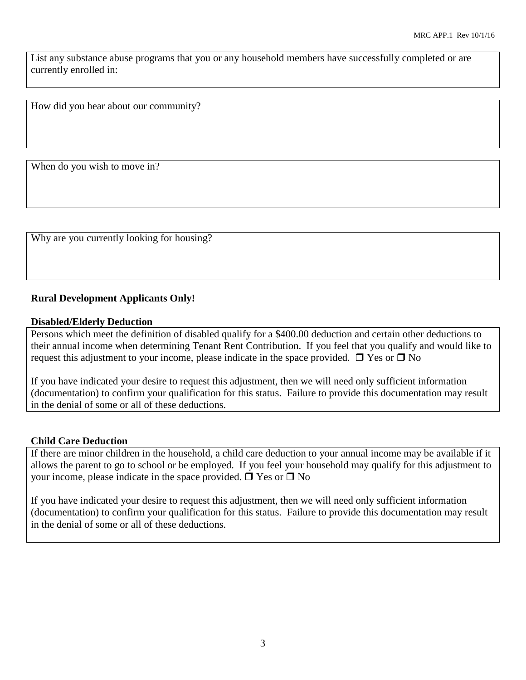List any substance abuse programs that you or any household members have successfully completed or are currently enrolled in:

How did you hear about our community?

When do you wish to move in?

Why are you currently looking for housing?

### **Rural Development Applicants Only!**

### **Disabled/Elderly Deduction**

Persons which meet the definition of disabled qualify for a \$400.00 deduction and certain other deductions to their annual income when determining Tenant Rent Contribution. If you feel that you qualify and would like to request this adjustment to your income, please indicate in the space provided.  $\Box$  Yes or  $\Box$  No

If you have indicated your desire to request this adjustment, then we will need only sufficient information (documentation) to confirm your qualification for this status. Failure to provide this documentation may result in the denial of some or all of these deductions.

### **Child Care Deduction**

If there are minor children in the household, a child care deduction to your annual income may be available if it allows the parent to go to school or be employed. If you feel your household may qualify for this adjustment to your income, please indicate in the space provided.  $\Box$  Yes or  $\Box$  No

If you have indicated your desire to request this adjustment, then we will need only sufficient information (documentation) to confirm your qualification for this status. Failure to provide this documentation may result in the denial of some or all of these deductions.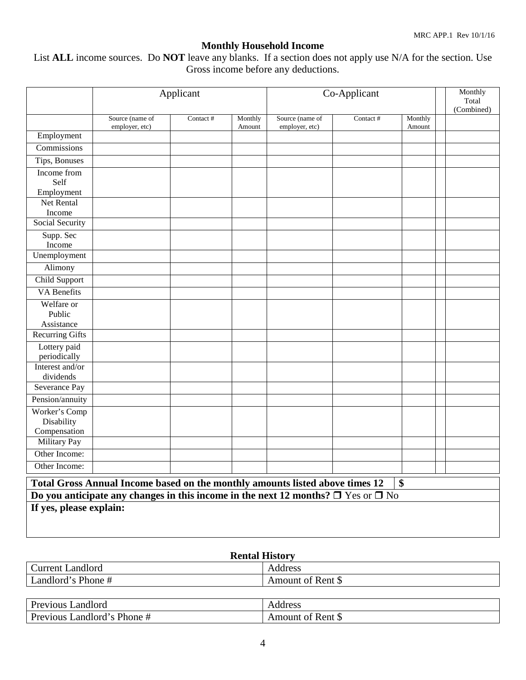## **Monthly Household Income**

List **ALL** income sources. Do **NOT** leave any blanks. If a section does not apply use N/A for the section. Use Gross income before any deductions.

|                                                                                             |                                   | Applicant |                   | Co-Applicant                      |          | Monthly<br>Total<br>(Combined) |  |  |
|---------------------------------------------------------------------------------------------|-----------------------------------|-----------|-------------------|-----------------------------------|----------|--------------------------------|--|--|
|                                                                                             | Source (name of<br>employer, etc) | Contact # | Monthly<br>Amount | Source (name of<br>employer, etc) | Contact# | Monthly<br>Amount              |  |  |
| Employment                                                                                  |                                   |           |                   |                                   |          |                                |  |  |
| Commissions                                                                                 |                                   |           |                   |                                   |          |                                |  |  |
| Tips, Bonuses                                                                               |                                   |           |                   |                                   |          |                                |  |  |
| Income from                                                                                 |                                   |           |                   |                                   |          |                                |  |  |
| Self                                                                                        |                                   |           |                   |                                   |          |                                |  |  |
| Employment                                                                                  |                                   |           |                   |                                   |          |                                |  |  |
| Net Rental                                                                                  |                                   |           |                   |                                   |          |                                |  |  |
| Income                                                                                      |                                   |           |                   |                                   |          |                                |  |  |
| Social Security                                                                             |                                   |           |                   |                                   |          |                                |  |  |
| Supp. Sec                                                                                   |                                   |           |                   |                                   |          |                                |  |  |
| Income                                                                                      |                                   |           |                   |                                   |          |                                |  |  |
| Unemployment                                                                                |                                   |           |                   |                                   |          |                                |  |  |
| Alimony                                                                                     |                                   |           |                   |                                   |          |                                |  |  |
| Child Support                                                                               |                                   |           |                   |                                   |          |                                |  |  |
| <b>VA</b> Benefits                                                                          |                                   |           |                   |                                   |          |                                |  |  |
| Welfare or                                                                                  |                                   |           |                   |                                   |          |                                |  |  |
| Public                                                                                      |                                   |           |                   |                                   |          |                                |  |  |
| Assistance                                                                                  |                                   |           |                   |                                   |          |                                |  |  |
| <b>Recurring Gifts</b>                                                                      |                                   |           |                   |                                   |          |                                |  |  |
| Lottery paid                                                                                |                                   |           |                   |                                   |          |                                |  |  |
| periodically<br>Interest and/or                                                             |                                   |           |                   |                                   |          |                                |  |  |
| dividends                                                                                   |                                   |           |                   |                                   |          |                                |  |  |
| Severance Pay                                                                               |                                   |           |                   |                                   |          |                                |  |  |
| Pension/annuity                                                                             |                                   |           |                   |                                   |          |                                |  |  |
| Worker's Comp                                                                               |                                   |           |                   |                                   |          |                                |  |  |
| Disability                                                                                  |                                   |           |                   |                                   |          |                                |  |  |
| Compensation                                                                                |                                   |           |                   |                                   |          |                                |  |  |
| Military Pay                                                                                |                                   |           |                   |                                   |          |                                |  |  |
| Other Income:                                                                               |                                   |           |                   |                                   |          |                                |  |  |
| Other Income:                                                                               |                                   |           |                   |                                   |          |                                |  |  |
| \$<br>Total Gross Annual Income based on the monthly amounts listed above times 12          |                                   |           |                   |                                   |          |                                |  |  |
| Do you anticipate any changes in this income in the next 12 months? $\Box$ Yes or $\Box$ No |                                   |           |                   |                                   |          |                                |  |  |
| If yes, please explain:                                                                     |                                   |           |                   |                                   |          |                                |  |  |
|                                                                                             |                                   |           |                   |                                   |          |                                |  |  |
|                                                                                             |                                   |           |                   |                                   |          |                                |  |  |

## **Rental History**

| $\sim$<br>Landlord<br>Current | Address                 |
|-------------------------------|-------------------------|
| Landlord's Phone #            | Amount of Rent $\delta$ |
|                               |                         |

| Landlord<br>Previous                                        | Address               |
|-------------------------------------------------------------|-----------------------|
| Phone#<br>$\text{\L{}}$ andlord's $\text{\L{}}$<br>Previous | t of Rent S<br>Amount |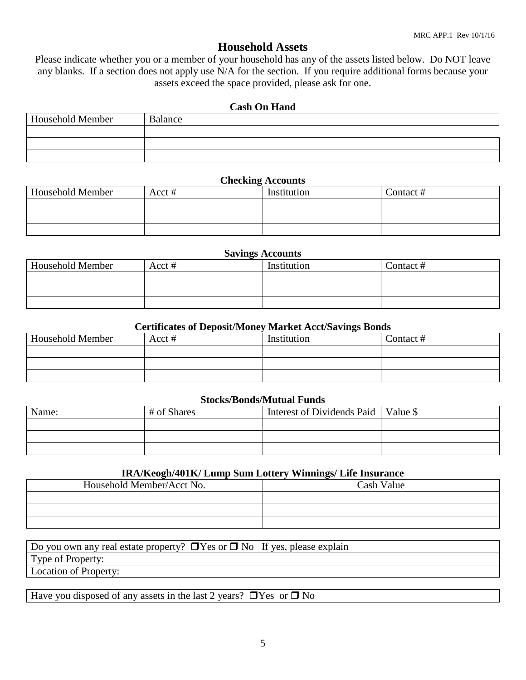## **Household Assets**

Please indicate whether you or a member of your household has any of the assets listed below. Do NOT leave any blanks. If a section does not apply use N/A for the section. If you require additional forms because your assets exceed the space provided, please ask for one.

### **Cash On Hand**

| <b>Household Member</b> | <b>Balance</b> |
|-------------------------|----------------|
|                         |                |
|                         |                |
|                         |                |

### **Checking Accounts**

| <b>Household Member</b> | Acct# | Institution | Contact# |
|-------------------------|-------|-------------|----------|
|                         |       |             |          |
|                         |       |             |          |
|                         |       |             |          |

### **Savings Accounts**

| <b>Household Member</b> | Acct# | Institution | Contact # |
|-------------------------|-------|-------------|-----------|
|                         |       |             |           |
|                         |       |             |           |
|                         |       |             |           |

### **Certificates of Deposit/Money Market Acct/Savings Bonds**

| <b>Household Member</b> | Acct # | Institution | Contact # |
|-------------------------|--------|-------------|-----------|
|                         |        |             |           |
|                         |        |             |           |
|                         |        |             |           |

### **Stocks/Bonds/Mutual Funds**

| Name: | # of Shares | Interest of Dividends Paid   Value \$ |  |
|-------|-------------|---------------------------------------|--|
|       |             |                                       |  |
|       |             |                                       |  |
|       |             |                                       |  |

### **IRA/Keogh/401K/ Lump Sum Lottery Winnings/ Life Insurance**

| Household Member/Acct No. | Cash Value |
|---------------------------|------------|
|                           |            |
|                           |            |
|                           |            |

| Do you own any real estate property? $\Box$ Yes or $\Box$ No If yes, please explain |  |
|-------------------------------------------------------------------------------------|--|
| Type of Property:                                                                   |  |
| Location of Property:                                                               |  |

Have you disposed of any assets in the last 2 years?  $\Box$  Yes or  $\Box$  No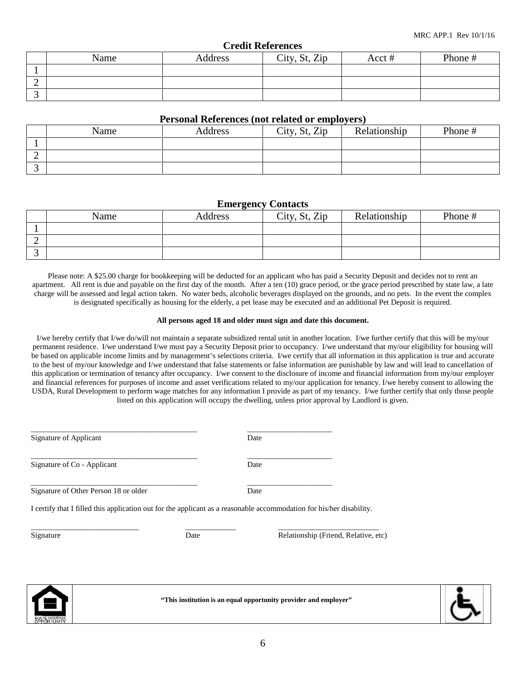**"This institution is an equal opportunity provider and employer"**

### **Credit References**

| ------- |      |         |               |       |         |  |
|---------|------|---------|---------------|-------|---------|--|
|         | Name | Address | City, St, Zip | Acct# | Phone # |  |
|         |      |         |               |       |         |  |
| ∼       |      |         |               |       |         |  |
|         |      |         |               |       |         |  |

### **Personal References (not related or employers)**

|   | Name | Address | City, St, Zip | Relationship | Phone # |
|---|------|---------|---------------|--------------|---------|
|   |      |         |               |              |         |
| ∸ |      |         |               |              |         |
|   |      |         |               |              |         |

### **Emergency Contacts**

|   | Name | Address | City, St, Zip | Relationship | Phone # |
|---|------|---------|---------------|--------------|---------|
|   |      |         |               |              |         |
| ∼ |      |         |               |              |         |
| ັ |      |         |               |              |         |

Please note: A \$25.00 charge for bookkeeping will be deducted for an applicant who has paid a Security Deposit and decides not to rent an apartment. All rent is due and payable on the first day of the month. After a ten (10) grace period, or the grace period prescribed by state law, a late charge will be assessed and legal action taken. No water beds, alcoholic beverages displayed on the grounds, and no pets. In the event the complex is designated specifically as housing for the elderly, a pet lease may be executed and an additional Pet Deposit is required.

### **All persons aged 18 and older must sign and date this document.**

I/we hereby certify that I/we do/will not maintain a separate subsidized rental unit in another location. I/we further certify that this will be my/our permanent residence. I/we understand I/we must pay a Security Deposit prior to occupancy. I/we understand that my/our eligibility for housing will be based on applicable income limits and by management's selections criteria. I/we certify that all information in this application is true and accurate to the best of my/our knowledge and I/we understand that false statements or false information are punishable by law and will lead to cancellation of this application or termination of tenancy after occupancy. I/we consent to the disclosure of income and financial information from my/our employer and financial references for purposes of income and asset verifications related to my/our application for tenancy. I/we hereby consent to allowing the USDA, Rural Development to perform wage matches for any information I provide as part of my tenancy. I/we further certify that only those people listed on this application will occupy the dwelling, unless prior approval by Landlord is given.

| Signature of Applicant                |      | Date                                                                                                                 |
|---------------------------------------|------|----------------------------------------------------------------------------------------------------------------------|
| Signature of Co - Applicant           |      | Date                                                                                                                 |
| Signature of Other Person 18 or older |      | Date                                                                                                                 |
|                                       |      | I certify that I filled this application out for the applicant as a reasonable accommodation for his/her disability. |
| Signature                             | Date | Relationship (Friend, Relative, etc)                                                                                 |
|                                       |      |                                                                                                                      |

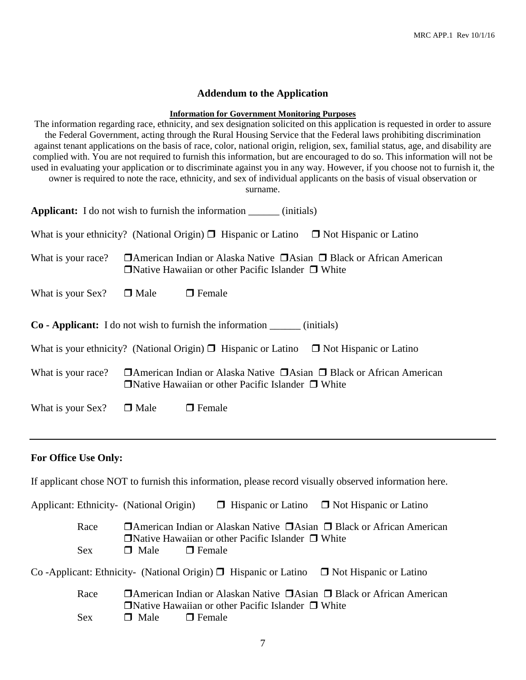### **Addendum to the Application**

### **Information for Government Monitoring Purposes**

The information regarding race, ethnicity, and sex designation solicited on this application is requested in order to assure the Federal Government, acting through the Rural Housing Service that the Federal laws prohibiting discrimination against tenant applications on the basis of race, color, national origin, religion, sex, familial status, age, and disability are complied with. You are not required to furnish this information, but are encouraged to do so. This information will not be used in evaluating your application or to discriminate against you in any way. However, if you choose not to furnish it, the owner is required to note the race, ethnicity, and sex of individual applicants on the basis of visual observation or surname.

| <b>Applicant:</b> I do not wish to furnish the information ________ (initials)                        |                                                                                                                                                        |                                                                                                   |                                                                                       |  |  |
|-------------------------------------------------------------------------------------------------------|--------------------------------------------------------------------------------------------------------------------------------------------------------|---------------------------------------------------------------------------------------------------|---------------------------------------------------------------------------------------|--|--|
|                                                                                                       |                                                                                                                                                        | What is your ethnicity? (National Origin) $\Box$ Hispanic or Latino $\Box$ Not Hispanic or Latino |                                                                                       |  |  |
| What is your race?                                                                                    | $\Box$ American Indian or Alaska Native $\Box$ Asian $\Box$ Black or African American<br>$\Box$ Native Hawaiian or other Pacific Islander $\Box$ White |                                                                                                   |                                                                                       |  |  |
| What is your Sex?                                                                                     | $\Box$ Male                                                                                                                                            | $\Box$ Female                                                                                     |                                                                                       |  |  |
|                                                                                                       | <b>Co</b> - Applicant: I do not wish to furnish the information _______ (initials)                                                                     |                                                                                                   |                                                                                       |  |  |
| What is your ethnicity? (National Origin) $\Box$ Hispanic or Latino $\Box$ Not Hispanic or Latino     |                                                                                                                                                        |                                                                                                   |                                                                                       |  |  |
| What is your race?                                                                                    |                                                                                                                                                        | $\Box$ Native Hawaiian or other Pacific Islander $\Box$ White                                     | $\Box$ American Indian or Alaska Native $\Box$ Asian $\Box$ Black or African American |  |  |
| What is your Sex? $\Box$ Male                                                                         |                                                                                                                                                        | $\Box$ Female                                                                                     |                                                                                       |  |  |
|                                                                                                       |                                                                                                                                                        |                                                                                                   |                                                                                       |  |  |
| <b>For Office Use Only:</b>                                                                           |                                                                                                                                                        |                                                                                                   |                                                                                       |  |  |
| If applicant chose NOT to furnish this information, please record visually observed information here. |                                                                                                                                                        |                                                                                                   |                                                                                       |  |  |

Applicant: Ethnicity- (National Origin)  $\Box$  Hispanic or Latino  $\Box$  Not Hispanic or Latino Race  $\Box$  American Indian or Alaskan Native  $\Box$  Asian  $\Box$  Black or African American  $\Box$ Native Hawaiian or other Pacific Islander  $\Box$  White  $Sex$  **I** Male **I** Female

Co -Applicant: Ethnicity- (National Origin)  $\Box$  Hispanic or Latino  $\Box$  Not Hispanic or Latino

| Race | <b>T</b> American Indian or Alaskan Native $\Box$ Asian $\Box$ Black or African American |  |
|------|------------------------------------------------------------------------------------------|--|
|      | $\Box$ Native Hawaiian or other Pacific Islander $\Box$ White                            |  |
| Sex  | $\Box$ Male $\Box$ Female                                                                |  |